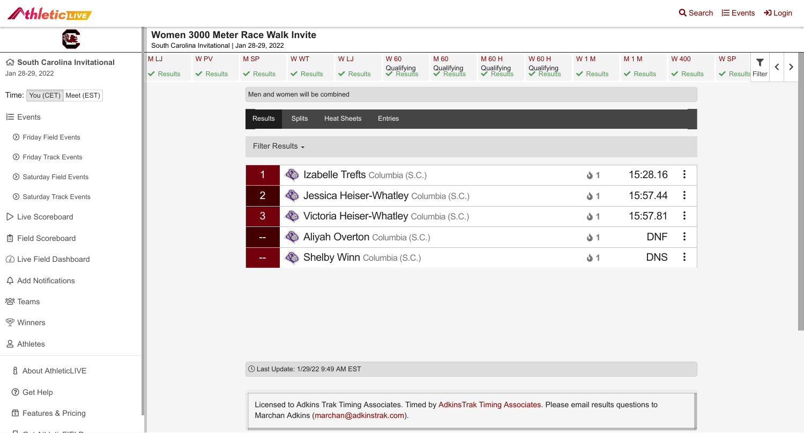| Women 3000 Meter Race Walk Invite<br>South Carolina Invitational   Jan 28-29, 2022 |                                                                                                                                                                                    |                |                                                       |                |                       |                       |                       |                                    |                     |                |                  |
|------------------------------------------------------------------------------------|------------------------------------------------------------------------------------------------------------------------------------------------------------------------------------|----------------|-------------------------------------------------------|----------------|-----------------------|-----------------------|-----------------------|------------------------------------|---------------------|----------------|------------------|
| M LJ                                                                               | W <sub>PV</sub>                                                                                                                                                                    | <b>MSP</b>     | W WT                                                  | W LJ           | <b>W60</b>            | M 60                  | <b>M60H</b>           | <b>W60H</b>                        | <b>W1M</b>          | <b>M1M</b>     | <b>W</b> 400     |
| $\vee$ Results                                                                     | $\vee$ Results                                                                                                                                                                     | $\vee$ Results | $\vee$ Results                                        | $\vee$ Results | Qualifying<br>Results | Qualifying<br>Results | Qualifying<br>Results | Qualifying<br><del>V</del> Results | $\vee$ Results      | $\vee$ Results | $\vee$ Results   |
|                                                                                    | Men and women will be combined                                                                                                                                                     |                |                                                       |                |                       |                       |                       |                                    |                     |                |                  |
|                                                                                    |                                                                                                                                                                                    | <b>Results</b> | <b>Splits</b><br><b>Heat Sheets</b><br><b>Entries</b> |                |                       |                       |                       |                                    |                     |                |                  |
| Filter Results -                                                                   |                                                                                                                                                                                    |                |                                                       |                |                       |                       |                       |                                    |                     |                |                  |
|                                                                                    | $\langle \rangle$<br><b>Izabelle Trefts Columbia (S.C.)</b><br>1                                                                                                                   |                |                                                       |                |                       |                       |                       | $\ddot{\bullet}$ 1                 | 15:28.16            | $\ddot{\cdot}$ |                  |
|                                                                                    | $\overline{2}$<br>Jessica Heiser-Whatley Columbia (S.C.)<br>$\langle \rangle$                                                                                                      |                |                                                       |                |                       |                       |                       |                                    | $\ddot{\bullet}$ 1  | 15:57.44       | $\ddot{\bullet}$ |
|                                                                                    | 3 <sup>1</sup><br>Victoria Heiser-Whatley Columbia (S.C.)<br>Aliyah Overton Columbia (S.C.)<br>43<br><b>COMPA</b><br><b>Shelby Winn Columbia (S.C.)</b><br>$\langle \cdot \rangle$ |                |                                                       |                |                       |                       |                       |                                    | $\ddot{\bullet}$ 1  | 15:57.81       | $\ddot{\cdot}$   |
|                                                                                    |                                                                                                                                                                                    |                |                                                       |                |                       |                       |                       |                                    | $\mathbf{\Delta}$ 1 | <b>DNF</b>     | $\ddot{\cdot}$   |
|                                                                                    |                                                                                                                                                                                    |                |                                                       |                |                       |                       |                       |                                    | $\mathbf 0$ 1       | <b>DNS</b>     | $\ddot{\cdot}$   |
|                                                                                    |                                                                                                                                                                                    |                |                                                       |                |                       |                       |                       |                                    |                     |                |                  |